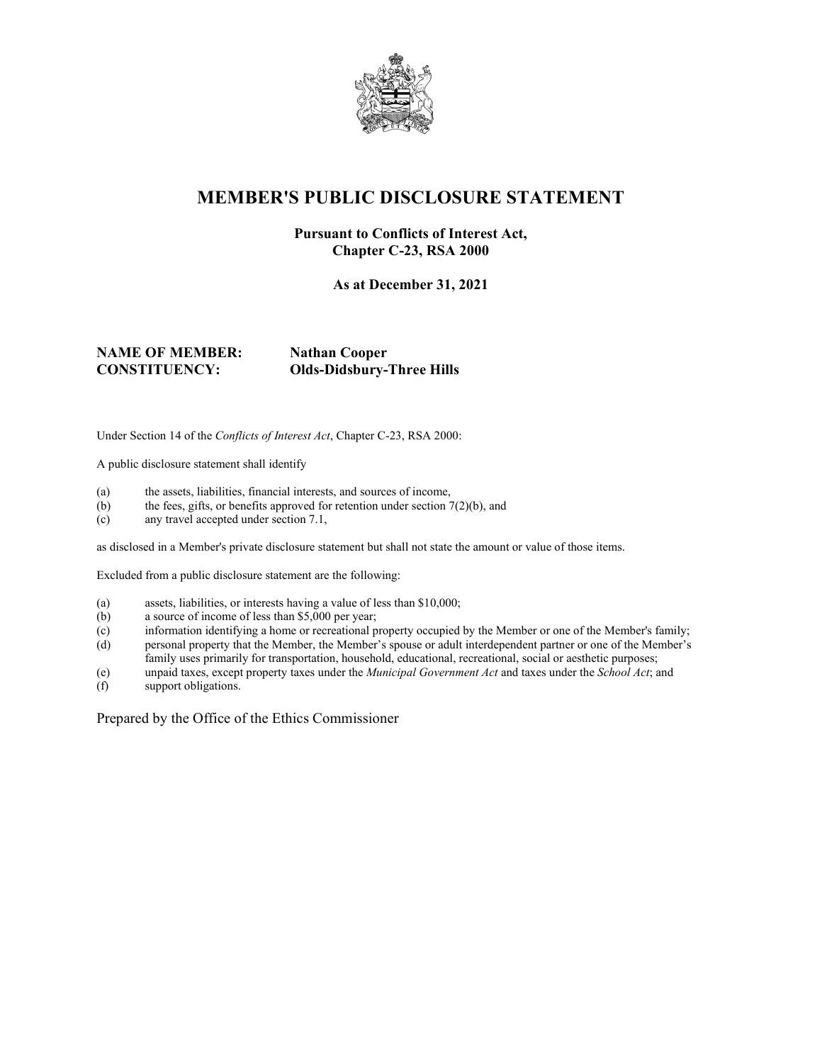

## **MEMBER'S PUBLIC DISCLOSURE STATEMENT**

#### **Pursuant to Conflicts of Interest Act, Chapter C-23, RSA 2000**

**As at December 31, 2021**

**NAME OF MEMBER: Nathan Cooper**

**CONSTITUENCY: Olds-Didsbury-Three Hills**

Under Section 14 of the *Conflicts of Interest Act*, Chapter C-23, RSA 2000:

A public disclosure statement shall identify

- (a) the assets, liabilities, financial interests, and sources of income,
- (b) the fees, gifts, or benefits approved for retention under section  $7(2)(b)$ , and
- (c) any travel accepted under section 7.1,

as disclosed in a Member's private disclosure statement but shall not state the amount or value of those items.

Excluded from a public disclosure statement are the following:

- (a) assets, liabilities, or interests having a value of less than \$10,000;
- (b) a source of income of less than \$5,000 per year;
- (c) information identifying a home or recreational property occupied by the Member or one of the Member's family;
- (d) personal property that the Member, the Member's spouse or adult interdependent partner or one of the Member's family uses primarily for transportation, household, educational, recreational, social or aesthetic purposes;
- (e) unpaid taxes, except property taxes under the *Municipal Government Act* and taxes under the *School Act*; and
- (f) support obligations.

Prepared by the Office of the Ethics Commissioner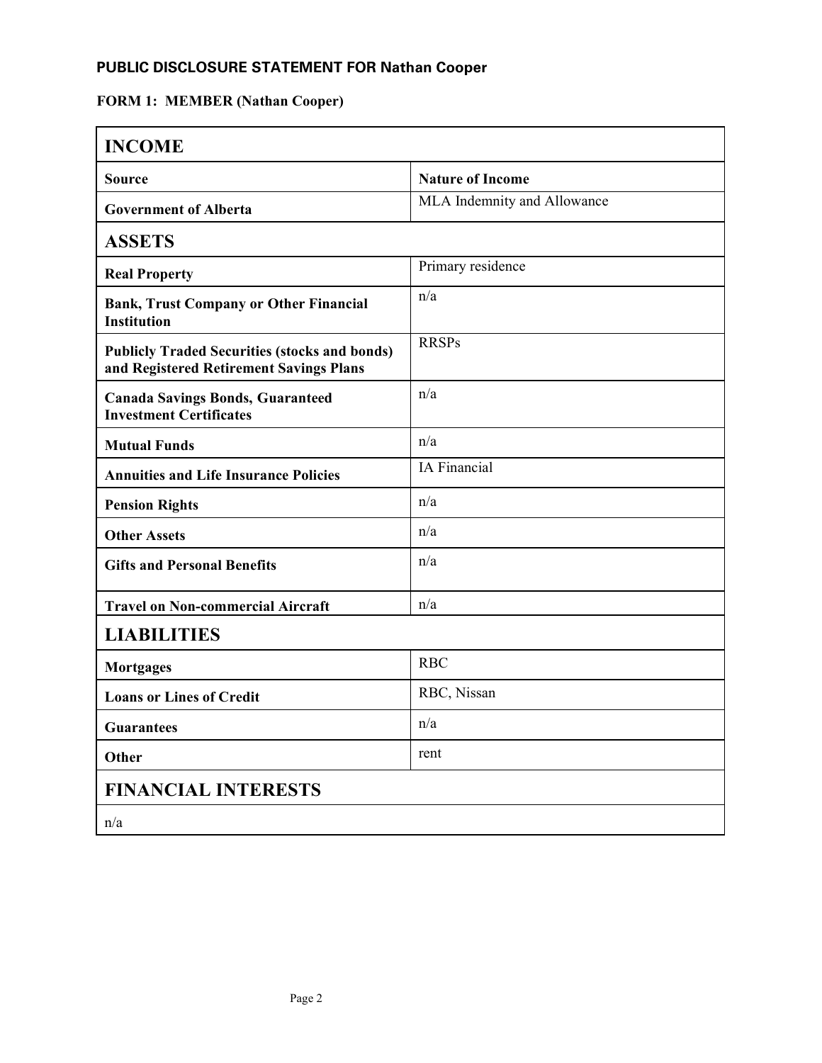### **PUBLIC DISCLOSURE STATEMENT FOR Nathan Cooper**

# **FORM 1: MEMBER (Nathan Cooper)**

| <b>INCOME</b>                                                                                   |                             |
|-------------------------------------------------------------------------------------------------|-----------------------------|
| <b>Source</b>                                                                                   | <b>Nature of Income</b>     |
| <b>Government of Alberta</b>                                                                    | MLA Indemnity and Allowance |
| <b>ASSETS</b>                                                                                   |                             |
| <b>Real Property</b>                                                                            | Primary residence           |
| <b>Bank, Trust Company or Other Financial</b><br><b>Institution</b>                             | n/a                         |
| <b>Publicly Traded Securities (stocks and bonds)</b><br>and Registered Retirement Savings Plans | <b>RRSPs</b>                |
| <b>Canada Savings Bonds, Guaranteed</b><br><b>Investment Certificates</b>                       | n/a                         |
| <b>Mutual Funds</b>                                                                             | n/a                         |
| <b>Annuities and Life Insurance Policies</b>                                                    | IA Financial                |
| <b>Pension Rights</b>                                                                           | n/a                         |
| <b>Other Assets</b>                                                                             | n/a                         |
| <b>Gifts and Personal Benefits</b>                                                              | n/a                         |
| <b>Travel on Non-commercial Aircraft</b>                                                        | n/a                         |
| <b>LIABILITIES</b>                                                                              |                             |
| <b>Mortgages</b>                                                                                | <b>RBC</b>                  |
| <b>Loans or Lines of Credit</b>                                                                 | RBC, Nissan                 |
| <b>Guarantees</b>                                                                               | n/a                         |
| Other                                                                                           | rent                        |
| <b>FINANCIAL INTERESTS</b>                                                                      |                             |
| n/a                                                                                             |                             |